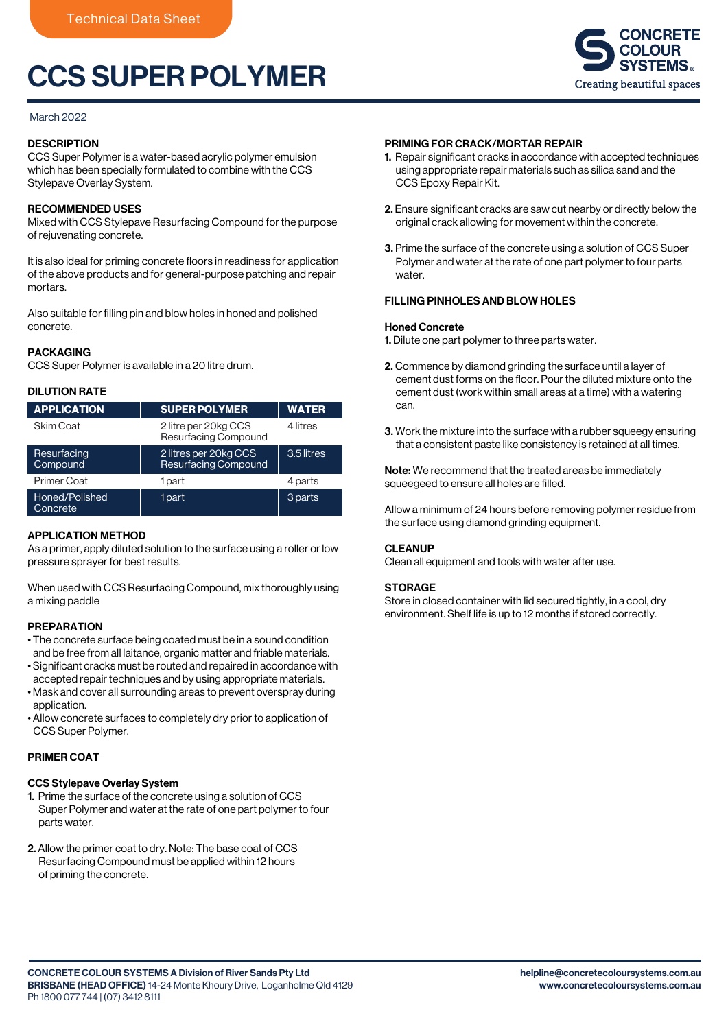# CCS SUPER POLYMER

## March 2022

# **DESCRIPTION**

CCS Super Polymer is a water-based acrylic polymer emulsion which has been specially formulated to combine with the CCS Stylepave Overlay System.

# RECOMMENDED USES

Mixed with CCS Stylepave Resurfacing Compound for the purpose of rejuvenating concrete.

It is also ideal for priming concrete floors in readiness for application of the above products and for general-purpose patching and repair mortars.

Also suitable for filling pin and blow holes in honed and polished concrete.

## PACKAGING

CCS Super Polymer is available in a 20 litre drum.

# DILUTION RATE

| <b>APPLICATION</b>         | <b>SUPER POLYMER</b>                          | <b>WATER</b> |
|----------------------------|-----------------------------------------------|--------------|
| Skim Coat                  | 2 litre per 20kg CCS<br>Resurfacing Compound  | 4 litres     |
| Resurfacing<br>Compound    | 2 litres per 20kg CCS<br>Resurfacing Compound | 3.5 litres   |
| <b>Primer Coat</b>         | 1 part                                        | 4 parts      |
| Honed/Polished<br>Concrete | 1 part                                        | 3 parts      |

## APPLICATION METHOD

As a primer, apply diluted solution to the surface using a roller or low pressure sprayer for best results.

When used with CCS Resurfacing Compound, mix thoroughly using a mixing paddle

## PREPARATION

- The concrete surface being coated must be in a sound condition and be free from all laitance, organic matter and friable materials.
- Significant cracks must be routed and repaired in accordance with accepted repair techniques and by using appropriate materials.
- Mask and cover all surrounding areas to prevent overspray during application.
- Allow concrete surfaces to completely dry prior to application of CCS Super Polymer.

## PRIMER COAT

## CCS Stylepave Overlay System

- 1. Prime the surface of the concrete using a solution of CCS Super Polymer and water at the rate of one part polymer to four parts water.
- 2. Allow the primer coat to dry. Note: The base coat of CCS Resurfacing Compound must be applied within 12 hours of priming the concrete.

# PRIMING FOR CRACK/MORTAR REPAIR

- 1. Repair significant cracks in accordance with accepted techniques using appropriate repair materials such as silica sand and the CCS Epoxy Repair Kit.
- 2. Ensure significant cracks are saw cut nearby or directly below the original crack allowing for movement within the concrete.
- 3. Prime the surface of the concrete using a solution of CCS Super Polymer and water at the rate of one part polymer to four parts water

# FILLING PINHOLES AND BLOW HOLES

#### Honed Concrete

- 1. Dilute one part polymer to three parts water.
- 2. Commence by diamond grinding the surface until a layer of cement dust forms on the floor. Pour the diluted mixture onto the cement dust (work within small areas at a time) with a watering can.
- 3. Work the mixture into the surface with a rubber squeegy ensuring that a consistent paste like consistency is retained at all times.

Note: We recommend that the treated areas be immediately squeegeed to ensure all holes are filled.

Allow a minimum of 24 hours before removing polymer residue from the surface using diamond grinding equipment.

## **CLEANUP**

Clean all equipment and tools with water after use.

## **STORAGE**

Store in closed container with lid secured tightly, in a cool, dry environment. Shelf life is up to 12 months if stored correctly.